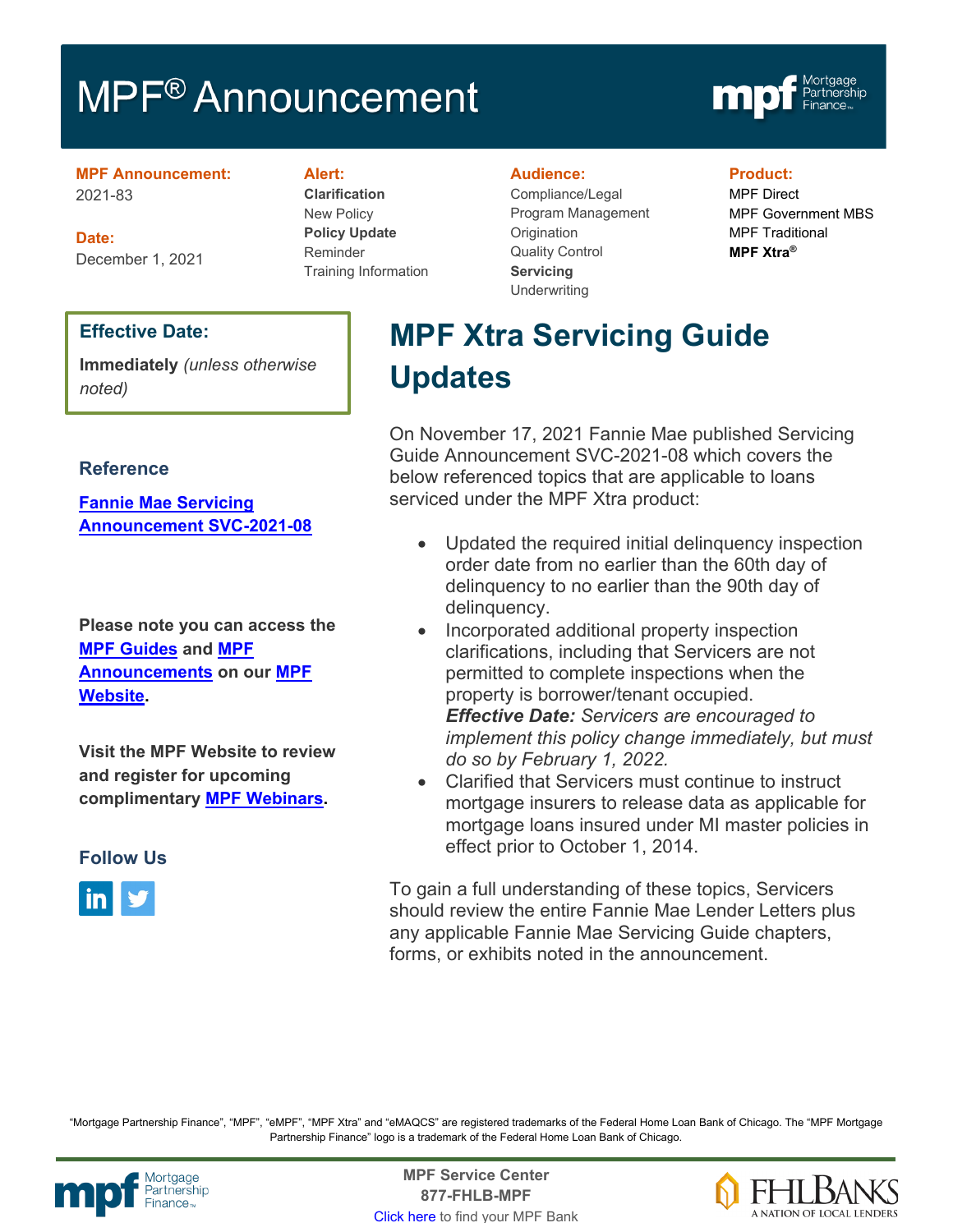# MPF<sup>®</sup> Announcement



#### **MPF Announcement:** 2021-83

**Date:** December 1, 2021

## **Effective Date:**

**Immediately** *(unless otherwise noted)*

### **Reference**

**[Fannie Mae Servicing](https://singlefamily.fanniemae.com/media/30121/display)  [Announcement SVC-2021-08](https://singlefamily.fanniemae.com/media/30121/display)**

**Please note you can access the [MPF Guides](https://fhlbmpf.com/mpf-guides/guides) and [MPF](https://fhlbmpf.com/mpf-guides/announcements)  [Announcements](https://fhlbmpf.com/mpf-guides/announcements) on our [MPF](https://fhlbmpf.com/)  [Website.](https://fhlbmpf.com/)** 

**Visit the MPF Website to review and register for upcoming complimentary [MPF Webinars.](https://www.fhlbmpf.com/education/upcoming-webinars)**

**Follow Us**



#### **Alert:**

**Clarification** New Policy **Policy Update** Reminder Training Information

#### **Audience:**

Compliance/Legal Program Management **Origination** Quality Control **Servicing Underwriting** 

#### **Product:**

MPF Direct MPF Government MBS MPF Traditional **MPF Xtra®**

# **MPF Xtra Servicing Guide Updates**

On November 17, 2021 Fannie Mae published Servicing Guide Announcement SVC-2021-08 which covers the below referenced topics that are applicable to loans serviced under the MPF Xtra product:

- Updated the required initial delinguency inspection order date from no earlier than the 60th day of delinquency to no earlier than the 90th day of delinquency.
- Incorporated additional property inspection clarifications, including that Servicers are not permitted to complete inspections when the property is borrower/tenant occupied. *Effective Date: Servicers are encouraged to implement this policy change immediately, but must do so by February 1, 2022.*
- Clarified that Servicers must continue to instruct mortgage insurers to release data as applicable for mortgage loans insured under MI master policies in effect prior to October 1, 2014.

To gain a full understanding of these topics, Servicers should review the entire Fannie Mae Lender Letters plus any applicable Fannie Mae Servicing Guide chapters, forms, or exhibits noted in the announcement.

"Mortgage Partnership Finance", "MPF", "eMPF", "MPF Xtra" and "eMAQCS" are registered trademarks of the Federal Home Loan Bank of Chicago. The "MPF Mortgage Partnership Finance" logo is a trademark of the Federal Home Loan Bank of Chicago.



Mortgage **Center Service Center**<br>Partnership **Canadian Center Service Center**<br> **Partnership CALL SANGE CANADIAN CENTER SERVICE PROPERTY 877-FHLB-MPF** [Click here](https://www.fhlbmpf.com/fhlbanks/fhlbanks) to find your MPF Bank

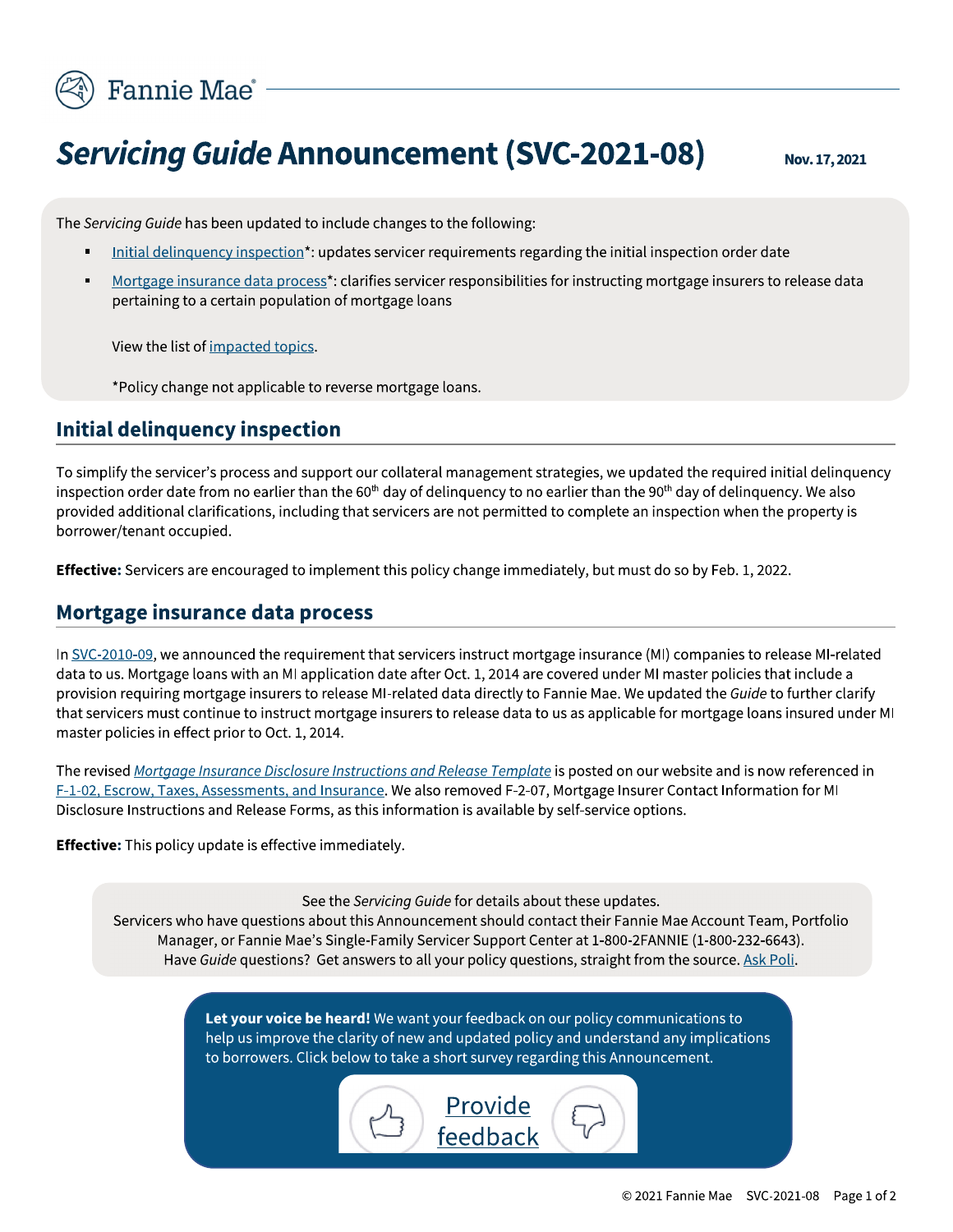

# **Servicing Guide Announcement (SVC-2021-08)**

Nov. 17, 2021

The Servicing Guide has been updated to include changes to the following:

- Initial delinguency inspection\*: updates servicer requirements regarding the initial inspection order date
- Mortgage insurance data process\*: clarifies servicer responsibilities for instructing mortgage insurers to release data pertaining to a certain population of mortgage loans

View the list of impacted topics.

\*Policy change not applicable to reverse mortgage loans.

# Initial delinquency inspection

To simplify the servicer's process and support our collateral management strategies, we updated the required initial delinquency inspection order date from no earlier than the 60<sup>th</sup> day of delinguency to no earlier than the 90<sup>th</sup> day of delinguency. We also provided additional clarifications, including that servicers are not permitted to complete an inspection when the property is borrower/tenant occupied.

**Effective:** Servicers are encouraged to implement this policy change immediately, but must do so by Feb. 1, 2022.

## Mortgage insurance data process

In SVC-2010-09, we announced the requirement that servicers instruct mortgage insurance (MI) companies to release MI-related data to us. Mortgage loans with an MI application date after Oct. 1, 2014 are covered under MI master policies that include a provision requiring mortgage insurers to release MI-related data directly to Fannie Mae. We updated the Guide to further clarify that servicers must continue to instruct mortgage insurers to release data to us as applicable for mortgage loans insured under MI master policies in effect prior to Oct. 1, 2014.

The revised Mortgage Insurance Disclosure Instructions and Release Template is posted on our website and is now referenced in F-1-02, Escrow, Taxes, Assessments, and Insurance. We also removed F-2-07, Mortgage Insurer Contact Information for MI Disclosure Instructions and Release Forms, as this information is available by self-service options.

Effective: This policy update is effective immediately.

See the Servicing Guide for details about these updates.

Servicers who have questions about this Announcement should contact their Fannie Mae Account Team, Portfolio Manager, or Fannie Mae's Single-Family Servicer Support Center at 1-800-2FANNIE (1-800-232-6643). Have Guide questions? Get answers to all your policy questions, straight from the source. Ask Poli.